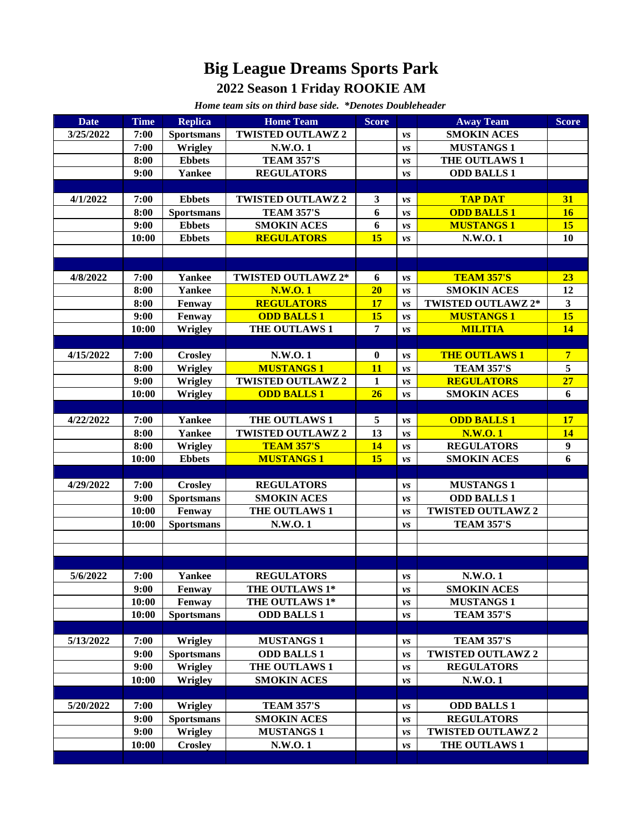## **Big League Dreams Sports Park 2022 Season 1 Friday ROOKIE AM**

*Home team sits on third base side. \*Denotes Doubleheader*

| <b>Date</b> | <b>Time</b>  | <b>Replica</b>                      | <b>Home Team</b>                        | <b>Score</b>           |                                | <b>Away Team</b>                         | <b>Score</b>            |
|-------------|--------------|-------------------------------------|-----------------------------------------|------------------------|--------------------------------|------------------------------------------|-------------------------|
| 3/25/2022   | 7:00         | <b>Sportsmans</b>                   | <b>TWISTED OUTLAWZ 2</b>                |                        | vs                             | <b>SMOKIN ACES</b>                       |                         |
|             | 7:00         | <b>Wrigley</b>                      | N.W.O.1                                 |                        | vs                             | <b>MUSTANGS1</b>                         |                         |
|             | 8:00         | <b>Ebbets</b>                       | <b>TEAM 357'S</b>                       |                        | vs                             | THE OUTLAWS 1                            |                         |
|             | 9:00         | <b>Yankee</b>                       | <b>REGULATORS</b>                       |                        | vs                             | <b>ODD BALLS 1</b>                       |                         |
|             |              |                                     |                                         |                        |                                |                                          |                         |
| 4/1/2022    | 7:00         | <b>Ebbets</b>                       | <b>TWISTED OUTLAWZ 2</b>                | $\mathbf{3}$           | vs                             | <b>TAP DAT</b>                           | <b>31</b>               |
|             | 8:00         | <b>Sportsmans</b>                   | <b>TEAM 357'S</b>                       | 6                      | vs                             | <b>ODD BALLS 1</b>                       | 16                      |
|             | 9:00         | <b>Ebbets</b>                       | <b>SMOKIN ACES</b>                      | 6                      | vs                             | <b>MUSTANGS1</b>                         | 15                      |
|             | 10:00        | <b>Ebbets</b>                       | <b>REGULATORS</b>                       | 15                     | vs                             | N.W.O.1                                  | 10                      |
|             |              |                                     |                                         |                        |                                |                                          |                         |
|             |              |                                     |                                         |                        |                                |                                          |                         |
| 4/8/2022    | 7:00         | <b>Yankee</b>                       | <b>TWISTED OUTLAWZ 2*</b>               | 6                      | vs                             | <b>TEAM 357'S</b>                        | 23                      |
|             | 8:00         | <b>Yankee</b>                       | <b>N.W.O.1</b>                          | 20                     | vs                             | <b>SMOKIN ACES</b>                       | 12                      |
|             | 8:00         | Fenway                              | <b>REGULATORS</b>                       | 17                     | vs                             | <b>TWISTED OUTLAWZ 2*</b>                | $\overline{\mathbf{3}}$ |
|             | 9:00         | Fenway                              | <b>ODD BALLS 1</b>                      | 15                     | vs                             | <b>MUSTANGS1</b>                         | 15                      |
|             | 10:00        | <b>Wrigley</b>                      | THE OUTLAWS 1                           | $\overline{7}$         | vs                             | <b>MILITIA</b>                           | 14                      |
|             |              |                                     |                                         |                        |                                |                                          |                         |
| 4/15/2022   | 7:00<br>8:00 | <b>Crosley</b>                      | N.W.O.1<br><b>MUSTANGS1</b>             | $\boldsymbol{0}$<br>11 | vs                             | <b>THE OUTLAWS1</b><br><b>TEAM 357'S</b> | $\overline{7}$<br>5     |
|             | 9:00         | <b>Wrigley</b><br><b>Wrigley</b>    | <b>TWISTED OUTLAWZ 2</b>                | $\mathbf{1}$           | $\boldsymbol{\nu}$ s           | <b>REGULATORS</b>                        | 27                      |
|             | 10:00        | <b>Wrigley</b>                      | <b>ODD BALLS 1</b>                      | 26                     | vs                             | <b>SMOKIN ACES</b>                       | 6                       |
|             |              |                                     |                                         |                        | $\boldsymbol{\nu}$ s           |                                          |                         |
| 4/22/2022   | 7:00         | <b>Yankee</b>                       | THE OUTLAWS 1                           | $\sqrt{5}$             | vs                             | <b>ODD BALLS 1</b>                       | <b>17</b>               |
|             | 8:00         | <b>Yankee</b>                       | <b>TWISTED OUTLAWZ 2</b>                | 13                     | vs                             | <b>N.W.O.1</b>                           | 14                      |
|             | 8:00         | <b>Wrigley</b>                      | <b>TEAM 357'S</b>                       | 14                     | $\boldsymbol{\nu} s$           | <b>REGULATORS</b>                        | 9                       |
|             | 10:00        | <b>Ebbets</b>                       | <b>MUSTANGS1</b>                        | 15                     | $\boldsymbol{\nu} s$           | <b>SMOKIN ACES</b>                       | 6                       |
|             |              |                                     |                                         |                        |                                |                                          |                         |
| 4/29/2022   | 7:00         | <b>Crosley</b>                      | <b>REGULATORS</b>                       |                        | vs                             | <b>MUSTANGS1</b>                         |                         |
|             | 9:00         | <b>Sportsmans</b>                   | <b>SMOKIN ACES</b>                      |                        | vs                             | <b>ODD BALLS 1</b>                       |                         |
|             | 10:00        | Fenway                              | THE OUTLAWS 1                           |                        | vs                             | <b>TWISTED OUTLAWZ 2</b>                 |                         |
|             | 10:00        | <b>Sportsmans</b>                   | N.W.O.1                                 |                        | vs                             | <b>TEAM 357'S</b>                        |                         |
|             |              |                                     |                                         |                        |                                |                                          |                         |
|             |              |                                     |                                         |                        |                                |                                          |                         |
|             |              |                                     |                                         |                        |                                |                                          |                         |
| 5/6/2022    | 7:00         | Yankee                              | <b>REGULATORS</b>                       |                        | νs                             | N.W.O.1                                  |                         |
|             | 9:00         | Fenway                              | THE OUTLAWS 1*                          |                        | $\boldsymbol{v}\boldsymbol{s}$ | <b>SMOKIN ACES</b>                       |                         |
|             | 10:00        | Fenway                              | THE OUTLAWS 1*                          |                        | vs                             | <b>MUSTANGS1</b>                         |                         |
|             | 10:00        | <b>Sportsmans</b>                   | <b>ODD BALLS 1</b>                      |                        | vs                             | <b>TEAM 357'S</b>                        |                         |
|             |              |                                     |                                         |                        |                                |                                          |                         |
| 5/13/2022   | 7:00         | <b>Wrigley</b>                      | <b>MUSTANGS 1</b>                       |                        | vs                             | <b>TEAM 357'S</b>                        |                         |
|             | 9:00         | <b>Sportsmans</b>                   | <b>ODD BALLS 1</b>                      |                        | vs                             | <b>TWISTED OUTLAWZ 2</b>                 |                         |
|             | 9:00         | <b>Wrigley</b>                      | <b>THE OUTLAWS 1</b>                    |                        | vs                             | <b>REGULATORS</b>                        |                         |
|             | 10:00        | Wrigley                             | <b>SMOKIN ACES</b>                      |                        | vs                             | N.W.O.1                                  |                         |
|             |              |                                     |                                         |                        |                                |                                          |                         |
| 5/20/2022   | 7:00         | <b>Wrigley</b><br><b>Sportsmans</b> | <b>TEAM 357'S</b><br><b>SMOKIN ACES</b> |                        | vs                             | <b>ODD BALLS 1</b><br><b>REGULATORS</b>  |                         |
|             | 9:00<br>9:00 | <b>Wrigley</b>                      | <b>MUSTANGS 1</b>                       |                        | vs<br>vs                       | <b>TWISTED OUTLAWZ 2</b>                 |                         |
|             | 10:00        | <b>Crosley</b>                      | N.W.O.1                                 |                        | vs                             | THE OUTLAWS 1                            |                         |
|             |              |                                     |                                         |                        |                                |                                          |                         |